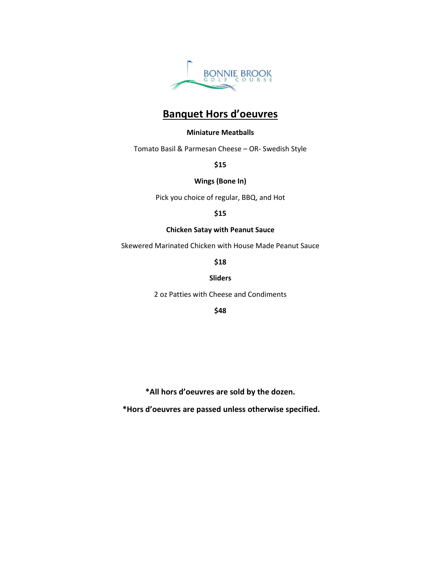

# **Banquet Hors d'oeuvres**

### **Miniature Meatballs**

Tomato Basil & Parmesan Cheese – OR- Swedish Style

**\$15**

### **Wings (Bone In)**

Pick you choice of regular, BBQ, and Hot

**\$15**

### **Chicken Satay with Peanut Sauce**

Skewered Marinated Chicken with House Made Peanut Sauce

**\$18**

### **Sliders**

2 oz Patties with Cheese and Condiments

**\$48**

**\*All hors d'oeuvres are sold by the dozen.**

**\*Hors d'oeuvres are passed unless otherwise specified.**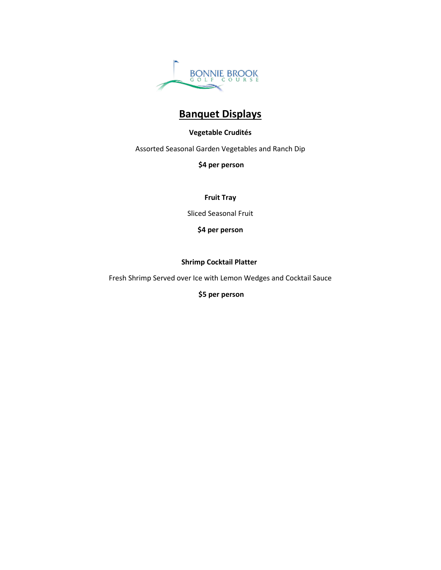

# **Banquet Displays**

### **Vegetable Crudités**

Assorted Seasonal Garden Vegetables and Ranch Dip

**\$4 per person** 

**Fruit Tray**

Sliced Seasonal Fruit

**\$4 per person**

### **Shrimp Cocktail Platter**

Fresh Shrimp Served over Ice with Lemon Wedges and Cocktail Sauce

**\$5 per person**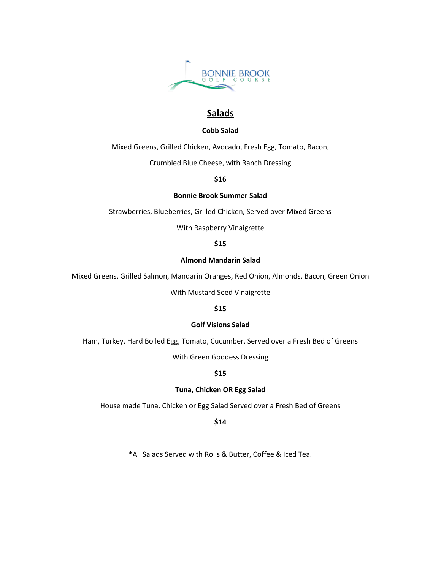

## **Salads**

### **Cobb Salad**

Mixed Greens, Grilled Chicken, Avocado, Fresh Egg, Tomato, Bacon,

Crumbled Blue Cheese, with Ranch Dressing

### **\$16**

### **Bonnie Brook Summer Salad**

Strawberries, Blueberries, Grilled Chicken, Served over Mixed Greens

With Raspberry Vinaigrette

### **\$15**

### **Almond Mandarin Salad**

Mixed Greens, Grilled Salmon, Mandarin Oranges, Red Onion, Almonds, Bacon, Green Onion

With Mustard Seed Vinaigrette

### **\$15**

### **Golf Visions Salad**

Ham, Turkey, Hard Boiled Egg, Tomato, Cucumber, Served over a Fresh Bed of Greens

With Green Goddess Dressing

### **\$15**

### **Tuna, Chicken OR Egg Salad**

House made Tuna, Chicken or Egg Salad Served over a Fresh Bed of Greens

**\$14**

\*All Salads Served with Rolls & Butter, Coffee & Iced Tea.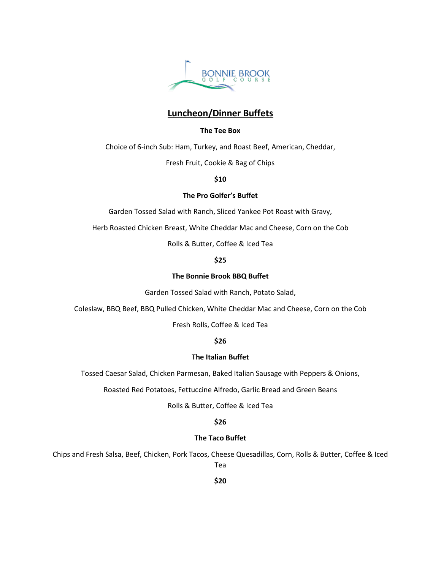

# **Luncheon/Dinner Buffets**

### **The Tee Box**

Choice of 6-inch Sub: Ham, Turkey, and Roast Beef, American, Cheddar,

Fresh Fruit, Cookie & Bag of Chips

**\$10**

### **The Pro Golfer's Buffet**

Garden Tossed Salad with Ranch, Sliced Yankee Pot Roast with Gravy,

Herb Roasted Chicken Breast, White Cheddar Mac and Cheese, Corn on the Cob

Rolls & Butter, Coffee & Iced Tea

### **\$25**

### **The Bonnie Brook BBQ Buffet**

Garden Tossed Salad with Ranch, Potato Salad,

Coleslaw, BBQ Beef, BBQ Pulled Chicken, White Cheddar Mac and Cheese, Corn on the Cob

Fresh Rolls, Coffee & Iced Tea

### **\$26**

### **The Italian Buffet**

Tossed Caesar Salad, Chicken Parmesan, Baked Italian Sausage with Peppers & Onions,

Roasted Red Potatoes, Fettuccine Alfredo, Garlic Bread and Green Beans

Rolls & Butter, Coffee & Iced Tea

### **\$26**

### **The Taco Buffet**

Chips and Fresh Salsa, Beef, Chicken, Pork Tacos, Cheese Quesadillas, Corn, Rolls & Butter, Coffee & Iced Tea

**\$20**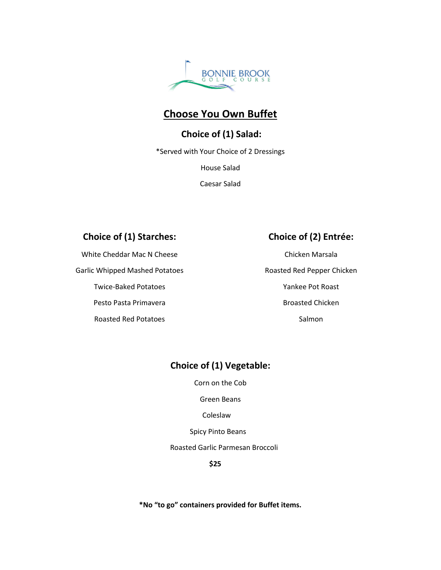

# **Choose You Own Buffet**

# **Choice of (1) Salad:**

\*Served with Your Choice of 2 Dressings

House Salad

Caesar Salad

# **Choice of (1) Starches:**

White Cheddar Mac N Cheese

Garlic Whipped Mashed Potatoes

Twice-Baked Potatoes

Pesto Pasta Primavera

Roasted Red Potatoes

# **Choice of (2) Entrée:**

Chicken Marsala Roasted Red Pepper Chicken Yankee Pot Roast Broasted Chicken Salmon

# **Choice of (1) Vegetable:**

Corn on the Cob

Green Beans

Coleslaw

Spicy Pinto Beans

Roasted Garlic Parmesan Broccoli

**\$25**

**\*No "to go" containers provided for Buffet items.**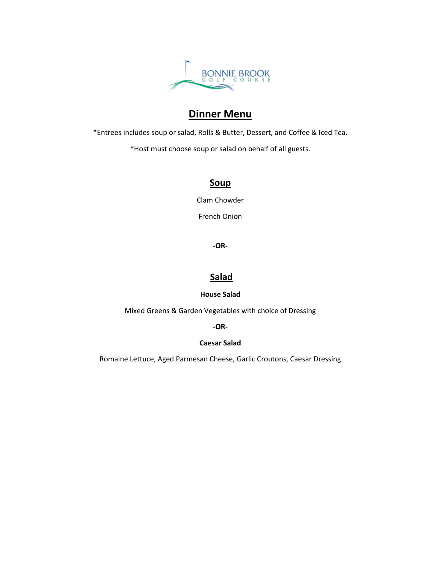

# **Dinner Menu**

\*Entrees includes soup or salad, Rolls & Butter, Dessert, and Coffee & Iced Tea.

\*Host must choose soup or salad on behalf of all guests.

# **Soup**

Clam Chowder

French Onion

**-OR-**

# **Salad**

### **House Salad**

Mixed Greens & Garden Vegetables with choice of Dressing

**-OR-**

### **Caesar Salad**

Romaine Lettuce, Aged Parmesan Cheese, Garlic Croutons, Caesar Dressing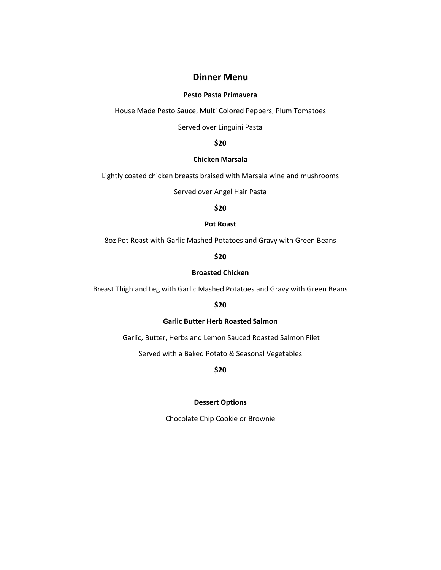## **Dinner Menu**

### **Pesto Pasta Primavera**

House Made Pesto Sauce, Multi Colored Peppers, Plum Tomatoes

Served over Linguini Pasta

**\$20**

### **Chicken Marsala**

Lightly coated chicken breasts braised with Marsala wine and mushrooms

Served over Angel Hair Pasta

**\$20**

#### **Pot Roast**

8oz Pot Roast with Garlic Mashed Potatoes and Gravy with Green Beans

**\$20**

### **Broasted Chicken**

Breast Thigh and Leg with Garlic Mashed Potatoes and Gravy with Green Beans

**\$20**

### **Garlic Butter Herb Roasted Salmon**

Garlic, Butter, Herbs and Lemon Sauced Roasted Salmon Filet

Served with a Baked Potato & Seasonal Vegetables

**\$20**

### **Dessert Options**

Chocolate Chip Cookie or Brownie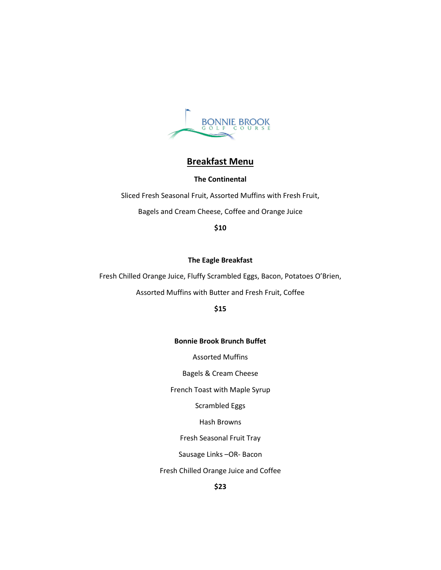

# **Breakfast Menu**

### **The Continental**

Sliced Fresh Seasonal Fruit, Assorted Muffins with Fresh Fruit, Bagels and Cream Cheese, Coffee and Orange Juice

**\$10**

#### **The Eagle Breakfast**

Fresh Chilled Orange Juice, Fluffy Scrambled Eggs, Bacon, Potatoes O'Brien,

Assorted Muffins with Butter and Fresh Fruit, Coffee

**\$15**

### **Bonnie Brook Brunch Buffet**

Assorted Muffins

Bagels & Cream Cheese

French Toast with Maple Syrup

Scrambled Eggs

Hash Browns

Fresh Seasonal Fruit Tray

Sausage Links –OR- Bacon

Fresh Chilled Orange Juice and Coffee

**\$23**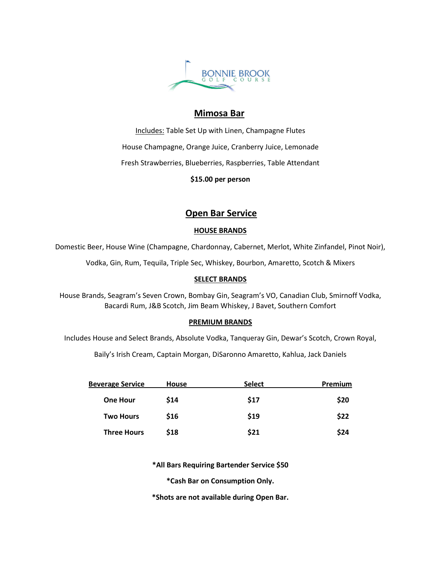

### **Mimosa Bar**

Includes: Table Set Up with Linen, Champagne Flutes House Champagne, Orange Juice, Cranberry Juice, Lemonade Fresh Strawberries, Blueberries, Raspberries, Table Attendant

**\$15.00 per person** 

# **Open Bar Service**

### **HOUSE BRANDS**

Domestic Beer, House Wine (Champagne, Chardonnay, Cabernet, Merlot, White Zinfandel, Pinot Noir),

Vodka, Gin, Rum, Tequila, Triple Sec, Whiskey, Bourbon, Amaretto, Scotch & Mixers

### **SELECT BRANDS**

House Brands, Seagram's Seven Crown, Bombay Gin, Seagram's VO, Canadian Club, Smirnoff Vodka, Bacardi Rum, J&B Scotch, Jim Beam Whiskey, J Bavet, Southern Comfort

### **PREMIUM BRANDS**

Includes House and Select Brands, Absolute Vodka, Tanqueray Gin, Dewar's Scotch, Crown Royal,

Baily's Irish Cream, Captain Morgan, DiSaronno Amaretto, Kahlua, Jack Daniels

| <b>Beverage Service</b> | <b>House</b> | <b>Select</b> | Premium |
|-------------------------|--------------|---------------|---------|
| <b>One Hour</b>         | \$14         | \$17          | \$20    |
| <b>Two Hours</b>        | \$16         | \$19          | \$22    |
| <b>Three Hours</b>      | \$18         | \$21          | \$24    |

**\*All Bars Requiring Bartender Service \$50**

**\*Cash Bar on Consumption Only.**

**\*Shots are not available during Open Bar.**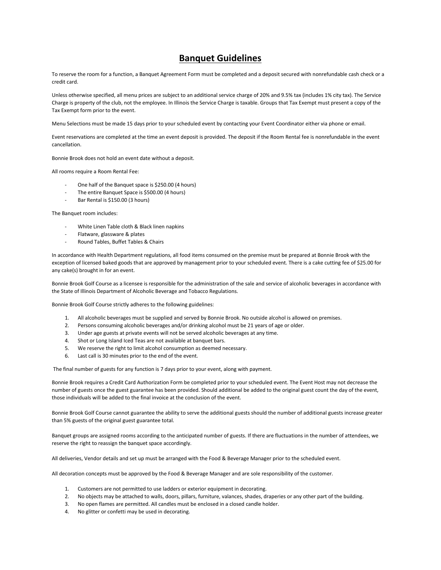## **Banquet Guidelines**

To reserve the room for a function, a Banquet Agreement Form must be completed and a deposit secured with nonrefundable cash check or a credit card.

Unless otherwise specified, all menu prices are subject to an additional service charge of 20% and 9.5% tax (includes 1% city tax). The Service Charge is property of the club, not the employee. In Illinois the Service Charge is taxable. Groups that Tax Exempt must present a copy of the Tax Exempt form prior to the event.

Menu Selections must be made 15 days prior to your scheduled event by contacting your Event Coordinator either via phone or email.

Event reservations are completed at the time an event deposit is provided. The deposit if the Room Rental fee is nonrefundable in the event cancellation.

Bonnie Brook does not hold an event date without a deposit.

All rooms require a Room Rental Fee:

- One half of the Banquet space is \$250.00 (4 hours)
- The entire Banquet Space is \$500.00 (4 hours)
- Bar Rental is \$150.00 (3 hours)

The Banquet room includes:

- White Linen Table cloth & Black linen napkins
- Flatware, glassware & plates
- Round Tables, Buffet Tables & Chairs

In accordance with Health Department regulations, all food items consumed on the premise must be prepared at Bonnie Brook with the exception of licensed baked goods that are approved by management prior to your scheduled event. There is a cake cutting fee of \$25.00 for any cake(s) brought in for an event.

Bonnie Brook Golf Course as a licensee is responsible for the administration of the sale and service of alcoholic beverages in accordance with the State of Illinois Department of Alcoholic Beverage and Tobacco Regulations.

Bonnie Brook Golf Course strictly adheres to the following guidelines:

- 1. All alcoholic beverages must be supplied and served by Bonnie Brook. No outside alcohol is allowed on premises.
- 2. Persons consuming alcoholic beverages and/or drinking alcohol must be 21 years of age or older.
- 3. Under age guests at private events will not be served alcoholic beverages at any time.
- 4. Shot or Long Island Iced Teas are not available at banquet bars.
- 5. We reserve the right to limit alcohol consumption as deemed necessary.
- 6. Last call is 30 minutes prior to the end of the event.

The final number of guests for any function is 7 days prior to your event, along with payment.

Bonnie Brook requires a Credit Card Authorization Form be completed prior to your scheduled event. The Event Host may not decrease the number of guests once the guest guarantee has been provided. Should additional be added to the original guest count the day of the event, those individuals will be added to the final invoice at the conclusion of the event.

Bonnie Brook Golf Course cannot guarantee the ability to serve the additional guests should the number of additional guests increase greater than 5% guests of the original guest guarantee total.

Banquet groups are assigned rooms according to the anticipated number of guests. If there are fluctuations in the number of attendees, we reserve the right to reassign the banquet space accordingly.

All deliveries, Vendor details and set up must be arranged with the Food & Beverage Manager prior to the scheduled event.

All decoration concepts must be approved by the Food & Beverage Manager and are sole responsibility of the customer.

- 1. Customers are not permitted to use ladders or exterior equipment in decorating.
- 2. No objects may be attached to walls, doors, pillars, furniture, valances, shades, draperies or any other part of the building.
- 3. No open flames are permitted. All candles must be enclosed in a closed candle holder.
- 4. No glitter or confetti may be used in decorating.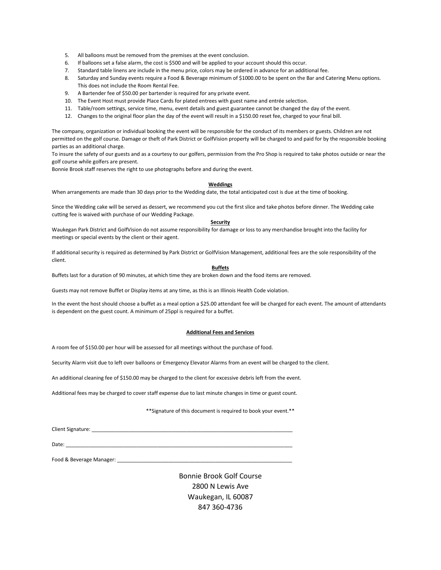- 5. All balloons must be removed from the premises at the event conclusion.
- 6. If balloons set a false alarm, the cost is \$500 and will be applied to your account should this occur.
- 7. Standard table linens are include in the menu price, colors may be ordered in advance for an additional fee.
- 8. Saturday and Sunday events require a Food & Beverage minimum of \$1000.00 to be spent on the Bar and Catering Menu options. This does not include the Room Rental Fee.
- 9. A Bartender fee of \$50.00 per bartender is required for any private event.
- 10. The Event Host must provide Place Cards for plated entrees with guest name and entrée selection.
- 11. Table/room settings, service time, menu, event details and guest guarantee cannot be changed the day of the event.
- 12. Changes to the original floor plan the day of the event will result in a \$150.00 reset fee, charged to your final bill.

The company, organization or individual booking the event will be responsible for the conduct of its members or guests. Children are not permitted on the golf course. Damage or theft of Park District or GolfVision property will be charged to and paid for by the responsible booking parties as an additional charge.

To insure the safety of our guests and as a courtesy to our golfers, permission from the Pro Shop is required to take photos outside or near the golf course while golfers are present.

Bonnie Brook staff reserves the right to use photographs before and during the event.

#### **Weddings**

When arrangements are made than 30 days prior to the Wedding date, the total anticipated cost is due at the time of booking.

Since the Wedding cake will be served as dessert, we recommend you cut the first slice and take photos before dinner. The Wedding cake cutting fee is waived with purchase of our Wedding Package.

#### **Security**

Waukegan Park District and GolfVision do not assume responsibility for damage or loss to any merchandise brought into the facility for meetings or special events by the client or their agent.

If additional security is required as determined by Park District or GolfVision Management, additional fees are the sole responsibility of the client.

#### **Buffets**

Buffets last for a duration of 90 minutes, at which time they are broken down and the food items are removed.

Guests may not remove Buffet or Display items at any time, as this is an Illinois Health Code violation.

In the event the host should choose a buffet as a meal option a \$25.00 attendant fee will be charged for each event. The amount of attendants is dependent on the guest count. A minimum of 25ppl is required for a buffet.

#### **Additional Fees and Services**

A room fee of \$150.00 per hour will be assessed for all meetings without the purchase of food.

Security Alarm visit due to left over balloons or Emergency Elevator Alarms from an event will be charged to the client.

An additional cleaning fee of \$150.00 may be charged to the client for excessive debris left from the event.

Additional fees may be charged to cover staff expense due to last minute changes in time or guest count.

#### \*\*Signature of this document is required to book your event.\*\*

Client Signature:

Date: \_\_\_\_\_\_\_\_\_\_\_\_\_\_\_\_\_\_\_\_\_\_\_\_\_\_\_\_\_\_\_\_\_\_\_\_\_\_\_\_\_\_\_\_\_\_\_\_\_\_\_\_\_\_\_\_\_\_\_\_\_\_\_\_\_\_\_\_\_\_\_\_\_\_\_\_\_\_\_

Food & Beverage Manager: \_\_\_\_\_\_\_\_\_\_\_\_\_\_\_\_\_\_\_\_\_\_\_\_\_\_\_\_\_\_\_\_\_\_\_\_\_\_\_\_\_\_\_\_\_\_\_\_\_\_\_\_\_\_\_\_\_\_\_\_\_

Bonnie Brook Golf Course 2800 N Lewis Ave Waukegan, IL 60087 847 360-4736